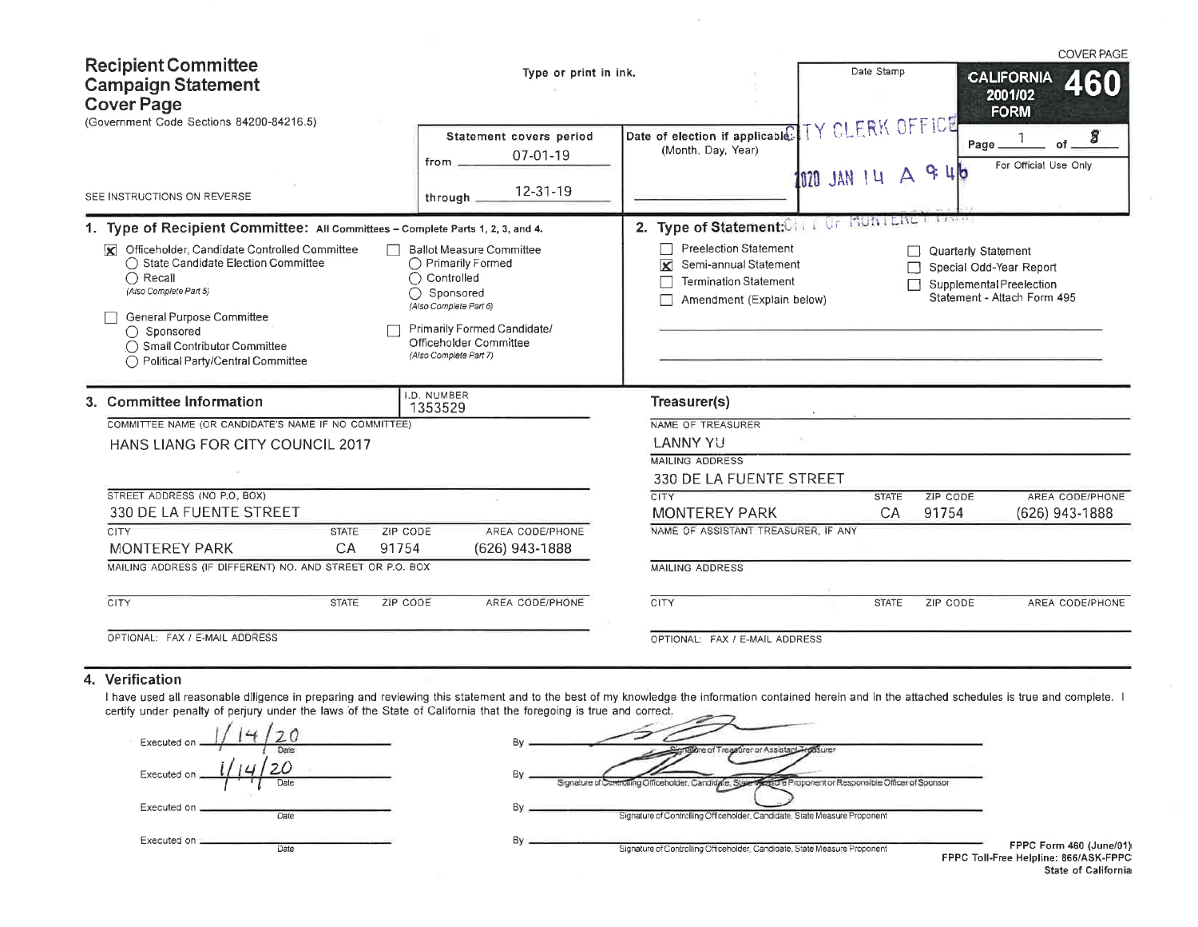| <b>Recipient Committee</b><br><b>Campaign Statement</b><br><b>Cover Page</b><br>(Government Code Sections 84200-84216.5)                                                                                                                                                                                                                                                                                                                                                          | Type or print in ink.<br>Statement covers period<br>07-01-19<br>from.                                                                                                                                                       | Date of election if applicable. IY CLERK OFFICE<br>(Month, Day, Year)                                                                                                                                                                              | Date Stamp<br>Page_<br>9:16             | <b>COVER PAGE</b><br><b>CALIFORNIA</b><br>460<br>2001/02<br><b>FORM</b><br>8<br>of.<br>For Official Use Only |
|-----------------------------------------------------------------------------------------------------------------------------------------------------------------------------------------------------------------------------------------------------------------------------------------------------------------------------------------------------------------------------------------------------------------------------------------------------------------------------------|-----------------------------------------------------------------------------------------------------------------------------------------------------------------------------------------------------------------------------|----------------------------------------------------------------------------------------------------------------------------------------------------------------------------------------------------------------------------------------------------|-----------------------------------------|--------------------------------------------------------------------------------------------------------------|
| SEE INSTRUCTIONS ON REVERSE                                                                                                                                                                                                                                                                                                                                                                                                                                                       | 12-31-19<br>through.                                                                                                                                                                                                        |                                                                                                                                                                                                                                                    | 1020 JAN 14 A                           |                                                                                                              |
| 1. Type of Recipient Committee: All Committees - Complete Parts 1, 2, 3, and 4.<br>Officeholder, Candidate Controlled Committee<br>lxi.<br>◯ State Candidate Election Committee<br>$\bigcap$ Recall<br>(Also Complete Part 5)<br>General Purpose Committee<br>$\bigcap$ Sponsored<br>◯ Small Contributor Committee<br>◯ Political Party/Central Committee<br>3. Committee Information<br>COMMITTEE NAME (OR CANDIDATE'S NAME IF NO COMMITTEE)<br>HANS LIANG FOR CITY COUNCIL 2017 | <b>Ballot Measure Committee</b><br>◯ Primarily Formed<br>◯ Controlled<br>◯ Sponsored<br>(Also Complete Part 6)<br>Primarily Formed Candidate/<br>Officeholder Committee<br>(Also Complete Part 7)<br>I.D. NUMBER<br>1353529 | 2. Type of Statement:CHI I OF MUNTERE<br><b>Preelection Statement</b><br>Semi-annual Statement<br>×<br><b>Termination Statement</b><br>Amendment (Explain below)<br>Treasurer(s)<br>NAME OF TREASURER<br><b>LANNY YU</b><br><b>MAILING ADDRESS</b> | <b>Quarterly Statement</b>              | Special Odd-Year Report<br><b>Supplemental Preelection</b><br>Statement - Attach Form 495                    |
| STREET ADDRESS (NO P.O. BOX)<br>330 DE LA FUENTE STREET<br><b>CITY</b><br><b>ZIP CODE</b><br><b>STATE</b><br><b>MONTEREY PARK</b><br>CA<br>91754<br>MAILING ADDRESS (IF DIFFERENT) NO. AND STREET OR P.O. BOX                                                                                                                                                                                                                                                                     | AREA CODE/PHONE<br>$(626)$ 943-1888                                                                                                                                                                                         | 330 DE LA FUENTE STREET<br><b>CITY</b><br><b>MONTEREY PARK</b><br>NAME OF ASSISTANT TREASURER, IF ANY<br><b>MAILING ADDRESS</b>                                                                                                                    | <b>STATE</b><br>ZIP CODE<br>CA<br>91754 | <b>AREA CODE/PHONE</b><br>(626) 943-1888                                                                     |
| <b>CITY</b><br><b>STATE</b><br>ZIP CODE<br>OPTIONAL: FAX / E-MAIL ADDRESS                                                                                                                                                                                                                                                                                                                                                                                                         | AREA CODE/PHONE                                                                                                                                                                                                             | <b>CITY</b><br>OPTIONAL: FAX / E-MAIL ADDRESS                                                                                                                                                                                                      | ZIP CODE<br><b>STATE</b>                | AREA CODE/PHONE                                                                                              |

 $\sim$ 

## 4. Verification

I have used all reasonable diligence in preparing and reviewing this statement and to the best of my knowledge the information contained herein and in the attached schedules is true and complete. I certify under penalty of

| Executed on:      |             |
|-------------------|-------------|
|                   |             |
| 14<br>Executed on | 20          |
|                   | <b>Date</b> |
| Executed on.      |             |
|                   | Date        |
| Executed on =     |             |
|                   | Date        |

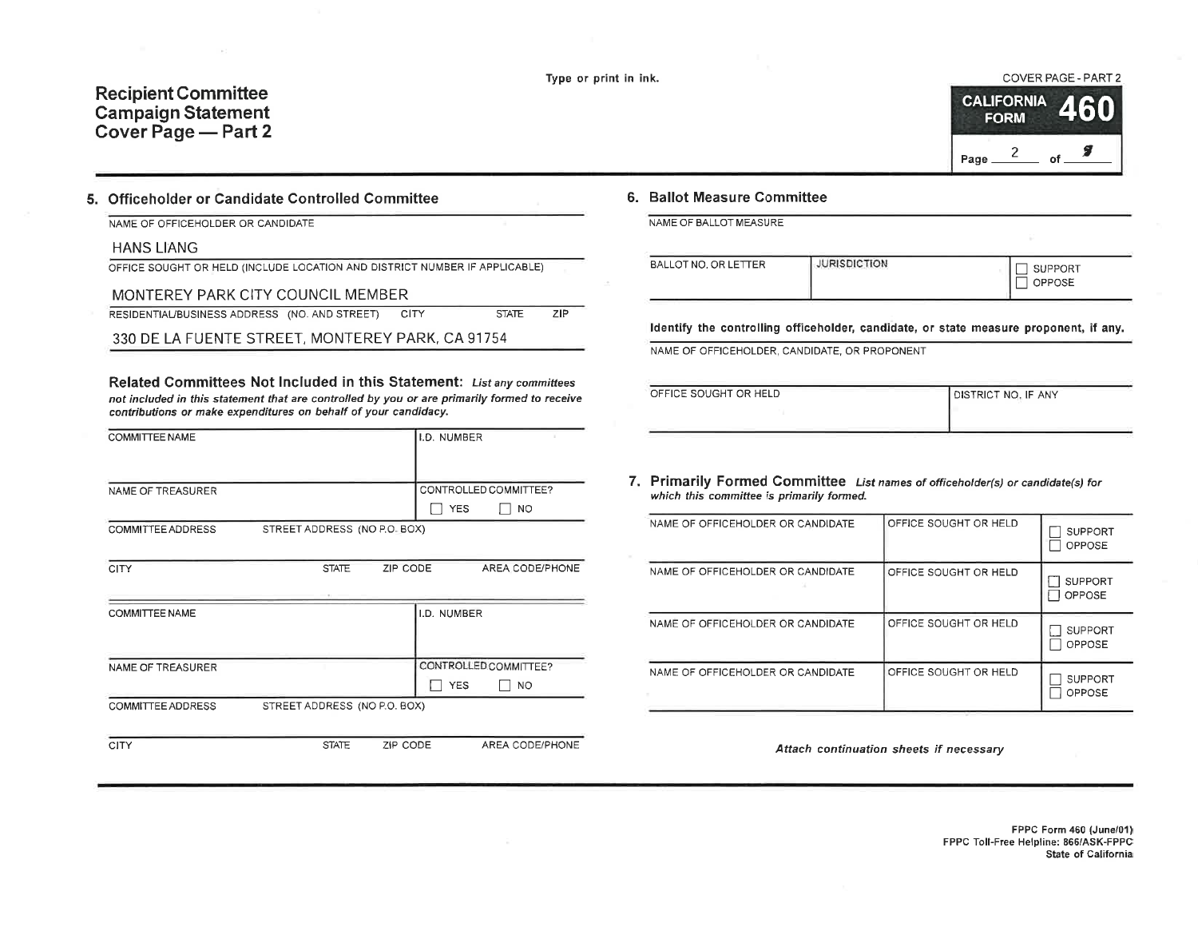Recipient Committee Campaign Statement Cover Page - Part 2



## 5. Officeholder or Candidate Controlled Committee

NAME OF OFFICEHOLDER OR CANDIDATE

### HANS LIANG

OFFICE SOUGHT OR HELD (INCLUDE LOCATION AND DISTRICT NUMBER IF APPLICABLE)

#### MONTEREY PARK CITY COUNCIL MEMBER

RESIDENTIAL/BUSINESS ADDRESS (NO. AND STREET) CITY STATE  $ZIP$ 

330 DE LA FUENTE STREET, MONTEREY PARK, CA 91754

Related Committees Not Included in this Statement: List any committees not included in this statement that are controlled by you or are primartly formed to receive contributions or make expenditures on behalf of your candidacy.

| <b>COMMITTEE NAME</b>    |                              | I.D. NUMBER |                       |
|--------------------------|------------------------------|-------------|-----------------------|
|                          |                              |             |                       |
| NAME OF TREASURER        |                              |             | CONTROLLED COMMITTEE? |
|                          |                              | <b>YES</b>  | NO.                   |
| <b>COMMITTEE ADDRESS</b> | STREET ADDRESS (NO P.O. BOX) |             |                       |

| <b>CITY</b>       | <b>STATE</b>                 | ZIP CODE | AREA CODE/PHONE                           |
|-------------------|------------------------------|----------|-------------------------------------------|
|                   |                              |          |                                           |
| COMMITTEE NAME    |                              |          | I.D. NUMBER                               |
| NAME OF TREASURER |                              |          | CONTROLLED COMMITTEE?<br><b>YES</b><br>NO |
| COMMITTEE ADDRESS | STREET ADDRESS (NO P.O. BOX) |          |                                           |

CITY STATE ZIP CODE AREA CODE/PHONE

## 6. Ballot Measure Committee

NAME OF BALLOT MEASURE

| OPPOSE | BALLOT NO, OR LETTER | <b>JURISDICTION</b> | <b>SUPPORT</b> |
|--------|----------------------|---------------------|----------------|
|--------|----------------------|---------------------|----------------|

ldentify the controlling officeholder, candidate, or state measure proponent, if any.

NAME OF OFFICEHOLDER, CANDIDATE, OR PROPONENT

| OFFICE SOUGHT OR HELD | <b>JOISTRICT NO. IF ANY</b> |
|-----------------------|-----------------------------|
|                       |                             |
|                       |                             |

7, Primarily Formed Committee List names of officehotder(s) or candidate(s) for which this committee is primarily formed.

| NAME OF OFFICEHOLDER OR CANDIDATE | OFFICE SOUGHT OR HELD | <b>SUPPORT</b><br>OPPOSE        |
|-----------------------------------|-----------------------|---------------------------------|
| NAME OF OFFICEHOLDER OR CANDIDATE | OFFICE SOUGHT OR HELD | <b>SUPPORT</b><br><b>OPPOSE</b> |
| NAME OF OFFICEHOLDER OR CANDIDATE | OFFICE SOUGHT OR HELD | <b>SUPPORT</b><br>OPPOSE        |
| NAME OF OFFICEHOLDER OR CANDIDATE | OFFICE SOUGHT OR HELD | <b>SUPPORT</b><br>OPPOSE        |

Attach continuation sheets if necessary

FPPC Form 460 (June/01) FPPC Toll-Free Helpline: 865/45K-FPPC State of California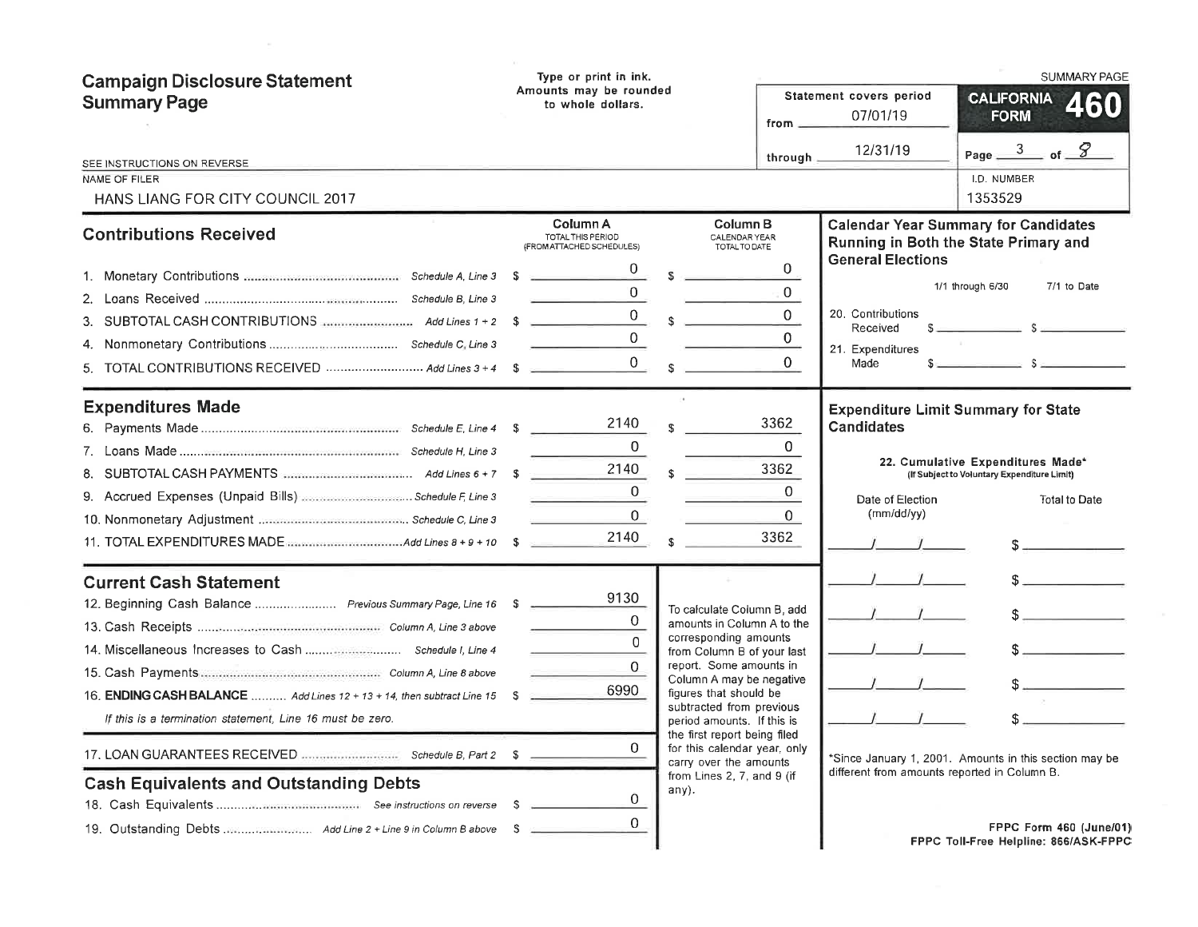| <b>Campaign Disclosure Statement</b><br><b>Summary Page</b>                                                                                                                                                                                                                            | Type or print in ink.<br>Amounts may be rounded<br>to whole dollars.<br>from _      |                                                                                                                                                                                                                                                                                                                                                                                             |                                                                           | Statement covers period<br>07/01/19                                                   | <b>SUMMARY PAGE</b><br><b>CALIFORNIA</b><br>460<br><b>FORM</b>                                                                                                                                                                                                                                                                                                                              |
|----------------------------------------------------------------------------------------------------------------------------------------------------------------------------------------------------------------------------------------------------------------------------------------|-------------------------------------------------------------------------------------|---------------------------------------------------------------------------------------------------------------------------------------------------------------------------------------------------------------------------------------------------------------------------------------------------------------------------------------------------------------------------------------------|---------------------------------------------------------------------------|---------------------------------------------------------------------------------------|---------------------------------------------------------------------------------------------------------------------------------------------------------------------------------------------------------------------------------------------------------------------------------------------------------------------------------------------------------------------------------------------|
| SEE INSTRUCTIONS ON REVERSE                                                                                                                                                                                                                                                            |                                                                                     |                                                                                                                                                                                                                                                                                                                                                                                             | through.                                                                  | 12/31/19                                                                              | Page $\frac{3}{2}$ of $\frac{8}{2}$                                                                                                                                                                                                                                                                                                                                                         |
| <b>NAME OF FILER</b><br>HANS LIANG FOR CITY COUNCIL 2017                                                                                                                                                                                                                               |                                                                                     |                                                                                                                                                                                                                                                                                                                                                                                             |                                                                           |                                                                                       | I.D. NUMBER<br>1353529                                                                                                                                                                                                                                                                                                                                                                      |
| <b>Contributions Received</b>                                                                                                                                                                                                                                                          | Column A<br>TOTAL THIS PERIOD<br>(FROM ATTACHED SCHEDULES)                          | Column <sub>B</sub><br>CALENDAR YEAR<br>TOTAL TO DATE                                                                                                                                                                                                                                                                                                                                       |                                                                           |                                                                                       | <b>Calendar Year Summary for Candidates</b><br>Running in Both the State Primary and                                                                                                                                                                                                                                                                                                        |
| 3. SUBTOTAL CASH CONTRIBUTIONS <b></b> Add Lines 1 + 2 \$<br>5. TOTAL CONTRIBUTIONS RECEIVED  Add Lines 3 + 4 \$ _________                                                                                                                                                             | <b>Service Controller Controller</b><br>$0 \rightarrow$                             | $s =$<br>$\frac{0}{s}$ s                                                                                                                                                                                                                                                                                                                                                                    | $\overline{0}$<br>$\overline{0}$<br>$\overline{0}$<br>$\overline{0}$<br>0 | <b>General Elections</b><br>20. Contributions<br>Received<br>21. Expenditures<br>Made | 1/1 through 6/30<br>7/1 to Date<br>$S_{\text{max}}$ and $S_{\text{max}}$ and $S_{\text{max}}$ and $S_{\text{max}}$ and $S_{\text{max}}$ and $S_{\text{max}}$ and $S_{\text{max}}$ and $S_{\text{max}}$ and $S_{\text{max}}$ and $S_{\text{max}}$ and $S_{\text{max}}$ and $S_{\text{max}}$ and $S_{\text{max}}$ and $S_{\text{max}}$ and $S_{\text{max}}$ and $S_{\text{max}}$ a<br>$s = 1$ |
| <b>Expenditures Made</b>                                                                                                                                                                                                                                                               | 2140<br>0<br>2140<br><b>Contract Contract</b><br>$\Omega$<br>$\overline{0}$<br>2140 | \$.                                                                                                                                                                                                                                                                                                                                                                                         | 3362<br>0<br>3362<br>0<br>0<br>3362                                       | <b>Candidates</b><br>Date of Election<br>(mm/dd/yy)                                   | <b>Expenditure Limit Summary for State</b><br>22. Cumulative Expenditures Made*<br>(If Subject to Voluntary Expenditure Limit)<br><b>Total to Date</b>                                                                                                                                                                                                                                      |
| <b>Current Cash Statement</b><br>12. Beginning Cash Balance  Previous Summary Page, Line 16 \$<br>16. ENDING CASH BALANCE  Add Lines 12 + 13 + 14, then subtract Line 15<br>If this is a termination statement, Line 16 must be zero.<br><b>Cash Equivalents and Outstanding Debts</b> | 9130<br>0<br>$\Omega$<br>$\Omega$<br>6990<br><b>S</b><br>0<br>0<br>- S              | To calculate Column B, add<br>amounts in Column A to the<br>corresponding amounts<br>from Column B of your last<br>report. Some amounts in<br>Column A may be negative<br>figures that should be<br>subtracted from previous<br>period amounts. If this is<br>the first report being filed<br>for this calendar year, only<br>carry over the amounts<br>from Lines 2, 7, and 9 (if<br>any). |                                                                           | different from amounts reported in Column B.                                          | $S_{\text{max}}$<br>$\sim$<br>*Since January 1, 2001. Amounts in this section may be                                                                                                                                                                                                                                                                                                        |
|                                                                                                                                                                                                                                                                                        | 0                                                                                   |                                                                                                                                                                                                                                                                                                                                                                                             |                                                                           |                                                                                       | FPPC Form 460 (June/01)<br>FPPC Toll-Free Helpline: 866/ASK-FPPC                                                                                                                                                                                                                                                                                                                            |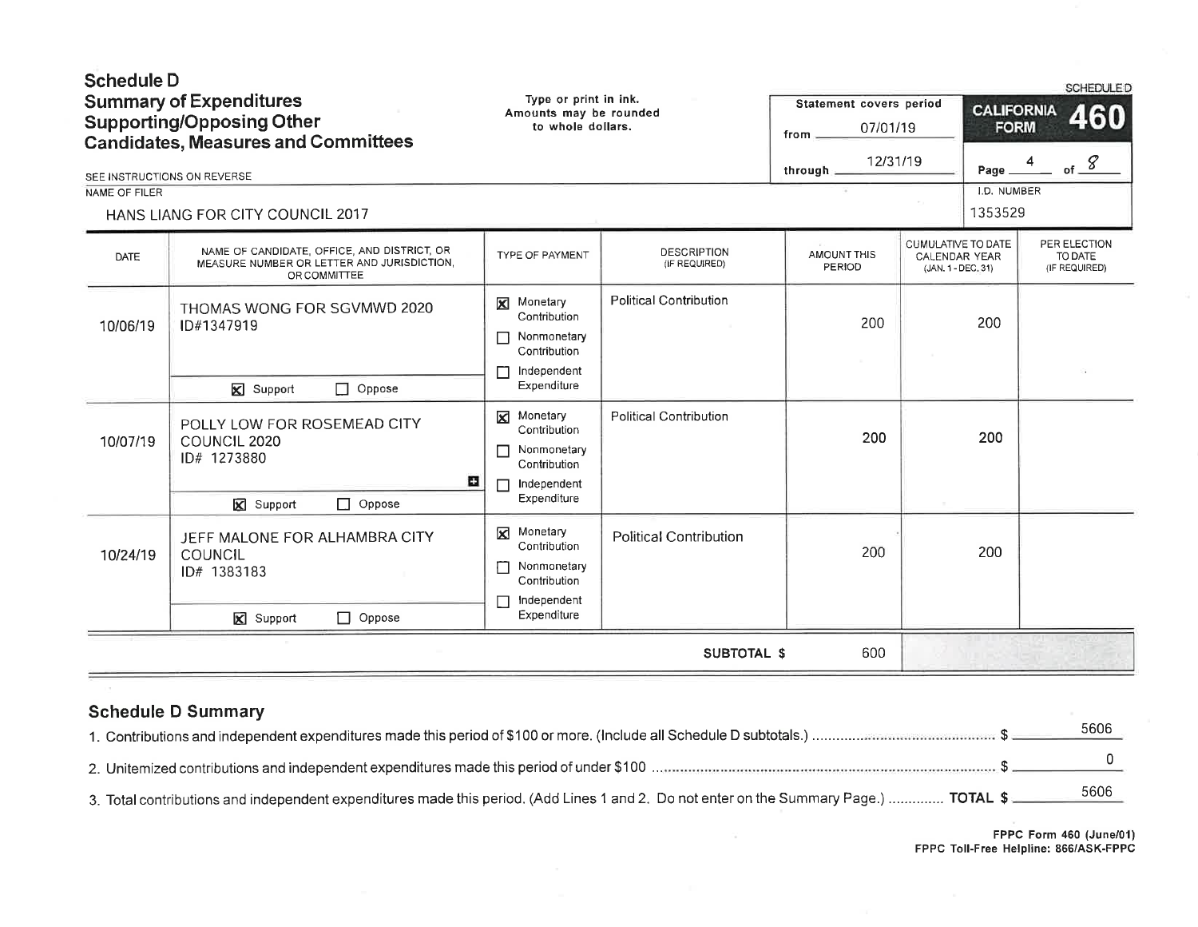| <b>Schedule D</b> | <b>Summary of Expenditures</b>                                                                            | Type or print in ink.<br>Amounts may be rounded                                       |                                     | Statement covers period |                                                           | <b>CALIFORNIA</b> | <b>SCHEDULED</b><br>460                  |
|-------------------|-----------------------------------------------------------------------------------------------------------|---------------------------------------------------------------------------------------|-------------------------------------|-------------------------|-----------------------------------------------------------|-------------------|------------------------------------------|
|                   | <b>Supporting/Opposing Other</b><br><b>Candidates, Measures and Committees</b>                            | to whole dollars.                                                                     |                                     | 07/01/19<br>from        |                                                           | <b>FORM</b>       |                                          |
|                   | SEE INSTRUCTIONS ON REVERSE                                                                               |                                                                                       |                                     | 12/31/19<br>through     |                                                           | Page              | of $\frac{g}{g}$<br>4                    |
| NAME OF FILER     |                                                                                                           |                                                                                       |                                     |                         |                                                           | I.D. NUMBER       |                                          |
|                   | HANS LIANG FOR CITY COUNCIL 2017                                                                          |                                                                                       |                                     |                         |                                                           | 1353529           |                                          |
| <b>DATE</b>       | NAME OF CANDIDATE, OFFICE, AND DISTRICT, OR<br>MEASURE NUMBER OR LETTER AND JURISDICTION,<br>OR COMMITTEE | TYPE OF PAYMENT                                                                       | <b>DESCRIPTION</b><br>(IF REQUIRED) | AMOUNT THIS<br>PERIOD   | CUMULATIVE TO DATE<br>CALENDAR YEAR<br>(JAN. 1 - DEC. 31) |                   | PER ELECTION<br>TO DATE<br>(IF REQUIRED) |
| 10/06/19          | THOMAS WONG FOR SGVMWD 2020<br>ID#1347919                                                                 | Monetary<br>⊠<br>Contribution<br>Nonmonetary<br>Г<br>Contribution<br>Independent      | <b>Political Contribution</b>       | 200                     |                                                           | 200               |                                          |
|                   | $\mathbf{\nabla}$ Support<br>$\Box$ Oppose                                                                | Expenditure                                                                           |                                     |                         |                                                           |                   |                                          |
| 10/07/19          | POLLY LOW FOR ROSEMEAD CITY<br>COUNCIL 2020<br>ID# 1273880<br>о                                           | Monetary<br>Contribution<br>Nonmonetary<br>П<br>Contribution<br>Independent<br>г      | <b>Political Contribution</b>       | 200                     |                                                           | 200               |                                          |
|                   | <b>X</b> Support<br>$\Box$ Oppose                                                                         | Expenditure                                                                           |                                     |                         |                                                           |                   |                                          |
| 10/24/19          | JEFF MALONE FOR ALHAMBRA CITY<br>COUNCIL<br>ID# 1383183                                                   | Monetary<br>⊠<br>Contribution<br>Nonmonetary<br>Г<br>Contribution<br>Independent<br>Г | <b>Political Contribution</b>       | 200                     |                                                           | 200               |                                          |
|                   | <b>⊠</b> Support<br>$\Box$ Oppose                                                                         | Expenditure                                                                           |                                     |                         |                                                           |                   |                                          |
|                   |                                                                                                           |                                                                                       | <b>SUBTOTAL \$</b>                  | 600                     |                                                           |                   |                                          |
|                   |                                                                                                           |                                                                                       |                                     |                         |                                                           |                   |                                          |

|  | <b>Schedule D Summary</b> |
|--|---------------------------|
|--|---------------------------|

|                                                                                                                                        | 5606 |
|----------------------------------------------------------------------------------------------------------------------------------------|------|
|                                                                                                                                        |      |
| 3. Total contributions and independent expenditures made this period. (Add Lines 1 and 2. Do not enter on the Summary Page.)  TOTAL \$ |      |

 $\sim$ 

FPPC Form 460 (June/0l) FPPC Toll-Free Helpline: 866/ASK-FPPC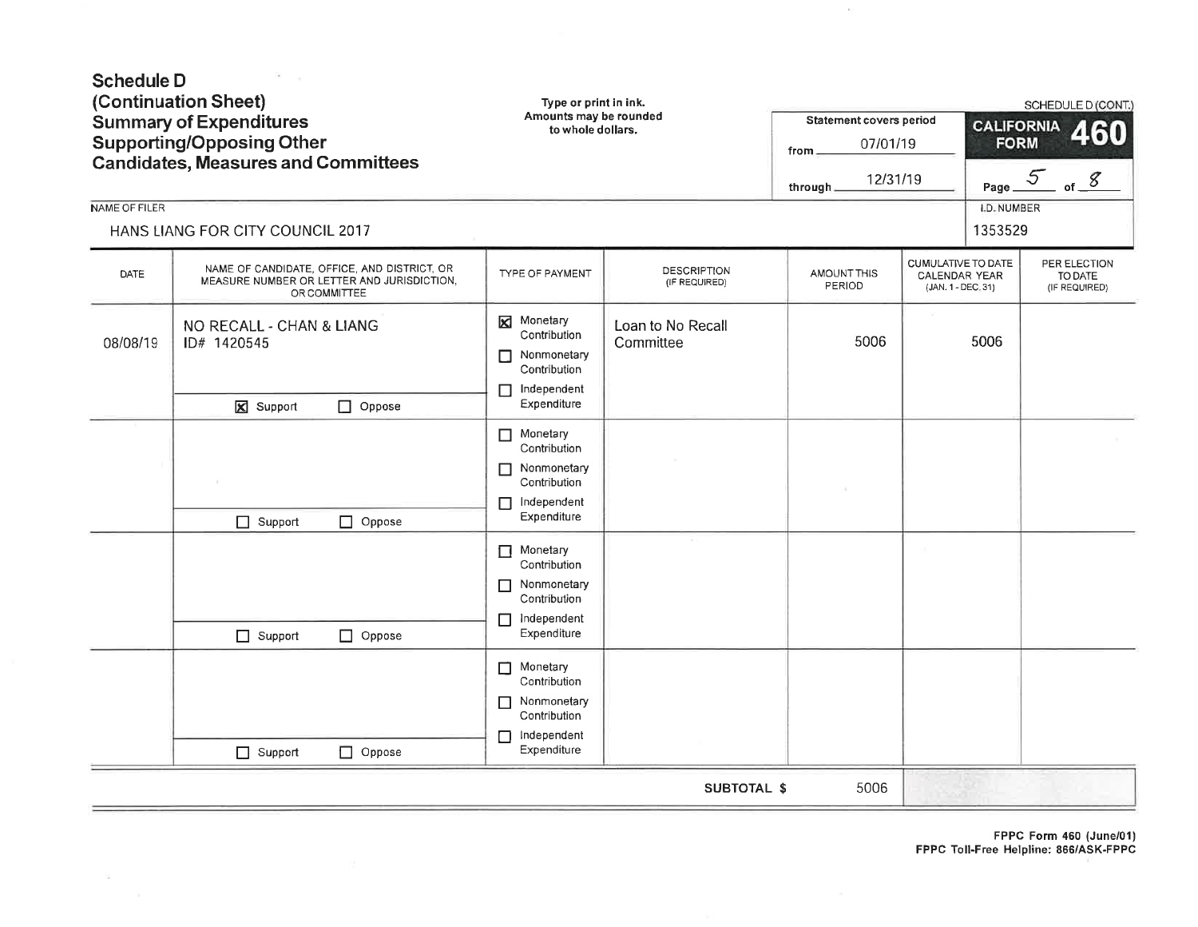| <b>Schedule D</b><br>NAME OF FILER | (Continuation Sheet)<br><b>Summary of Expenditures</b><br><b>Supporting/Opposing Other</b><br><b>Candidates, Measures and Committees</b><br>HANS LIANG FOR CITY COUNCIL 2017 | Type or print in ink.<br>Amounts may be rounded<br>to whole dollars.                                      |                                     | Statement covers period<br>07/01/19<br>from.<br>12/31/19<br>through. |                                                                  | <b>CALIFORNIA</b><br><b>FORM</b><br><b>I.D. NUMBER</b><br>1353529 | SCHEDULE D (CONT.)<br>160<br>Page $5$ of $8$ |
|------------------------------------|------------------------------------------------------------------------------------------------------------------------------------------------------------------------------|-----------------------------------------------------------------------------------------------------------|-------------------------------------|----------------------------------------------------------------------|------------------------------------------------------------------|-------------------------------------------------------------------|----------------------------------------------|
| DATE                               | NAME OF CANDIDATE, OFFICE, AND DISTRICT, OR<br>MEASURE NUMBER OR LETTER AND JURISDICTION,<br>OR COMMITTEE                                                                    | TYPE OF PAYMENT                                                                                           | <b>DESCRIPTION</b><br>(IF REQUIRED) | AMOUNT THIS<br>PERIOD                                                | CUMULATIVE TO DATE<br><b>CALENDAR YEAR</b><br>(JAN. 1 - DEC. 31) |                                                                   | PER ELECTION<br>TO DATE<br>(IF REQUIRED)     |
| 08/08/19                           | NO RECALL - CHAN & LIANG<br>ID# 1420545<br>$\Box$ Oppose<br>X Support                                                                                                        | Monetary<br>⊠<br>Contribution<br>Nonmonetary<br>П<br>Contribution<br>Independent<br>$\Box$<br>Expenditure | Loan to No Recall<br>Committee      | 5006                                                                 |                                                                  | 5006                                                              |                                              |
|                                    | $\Box$ Oppose<br>$\Box$ Support                                                                                                                                              | Monetary<br>П<br>Contribution<br>Nonmonetary<br>П<br>Contribution<br>Independent<br>П<br>Expenditure      |                                     |                                                                      |                                                                  |                                                                   |                                              |
|                                    | $\Box$ Support<br>$\Box$ Oppose                                                                                                                                              | Monetary<br>Contribution<br>Nonmonetary<br>П<br>Contribution<br>Independent<br>П<br>Expenditure           |                                     |                                                                      |                                                                  |                                                                   |                                              |
|                                    | Oppose<br>$\Box$ Support                                                                                                                                                     | Monetary<br>$\Box$<br>Contribution<br>Nonmonetary<br>П<br>Contribution<br>Independent<br>П<br>Expenditure |                                     |                                                                      |                                                                  |                                                                   |                                              |
|                                    |                                                                                                                                                                              |                                                                                                           | <b>SUBTOTAL \$</b>                  | 5006                                                                 |                                                                  |                                                                   |                                              |

 $\sim 10^{-11}$  and  $\sim 10^{-11}$ 

 $\sim$ 

FPPC Form 460 {June/01} FPPC Toll-Free Helpline: 866/ASK-FPPC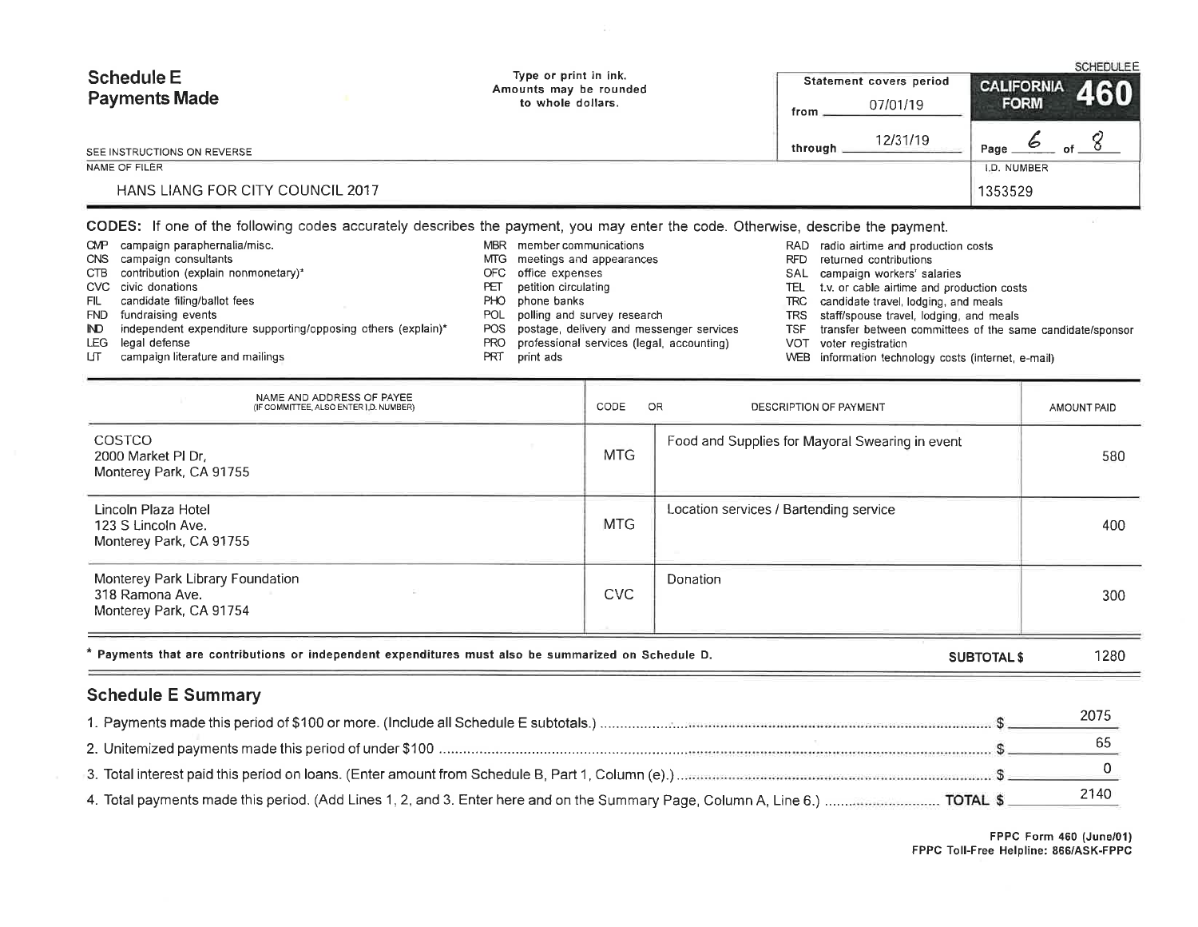| <b>Schedule E</b>                | Type or print in ink.<br>Amounts may be rounded | Statement covers period | <b>SCHEDULE E</b><br><b>CALIFORNIA</b><br>460 |
|----------------------------------|-------------------------------------------------|-------------------------|-----------------------------------------------|
| <b>Payments Made</b>             | to whole dollars.                               | 07/01/19<br>from        | <b>FORM</b>                                   |
| SEE INSTRUCTIONS ON REVERSE      |                                                 | 12/31/19<br>through     | Page<br>of                                    |
| NAME OF FILER                    |                                                 |                         | LD. NUMBER                                    |
| HANS LIANG FOR CITY COUNCIL 2017 |                                                 |                         | 1353529                                       |

CODES: lf one of the following codes accurately describes the payment, you may enter the code. Otherwise, describe the payment.

CMP campaign paraphernalia/mis

FIL candidate filing/ballot fees FND fundraising events

CTB contribution (explain nonmonetary)\*

LJT campaign literature and mailings

ND independent expenditure supporting/opposing others (explain)\*

cNs campaign consultants

cvc civic donations

LEG legal defense

- MBR = member communication
	- MTG \_ meetings\_and\_appearance:
	- office expenses oFc
	- petition circulating FET
	- PHO phone banks
	- polling and survey research POL
	- postage, delivery and messenger services POS
	- professional services (legal, accounting) PRO
	- PRT printads
- RAD radio airtime and production costs
- RFD returned contributions
- campaign workers' salaries SAL
- t.v. or cable airtime and production costs TEL
- candidate travel, lodging, and meals TRC
- TRS staff/spouse travel, lodging, and meals
- TSF transfer between committees of the same candidate/sponso
- voter registration VOT
- WEB information technology costs (internet, e-mail

| NAME AND ADDRESS OF PAYEE<br>(IF COMMITTEE, ALSO ENTER I.D. NUMBER)                                         | CODE<br>OR | DESCRIPTION OF PAYMENT                          | AMOUNT PAID |
|-------------------------------------------------------------------------------------------------------------|------------|-------------------------------------------------|-------------|
| COSTCO<br>2000 Market PI Dr.<br>Monterey Park, CA 91755                                                     | <b>MTG</b> | Food and Supplies for Mayoral Swearing in event | 580         |
| Lincoln Plaza Hotel<br>123 S Lincoln Ave.<br>Monterey Park, CA 91755                                        | <b>MTG</b> | Location services / Bartending service          | 400         |
| Monterey Park Library Foundation<br>318 Ramona Ave.<br>Monterey Park, CA 91754                              | CVC        | Donation                                        | 300         |
| $^\star$ Payments that are contributions or independent expenditures must also be summarized on Schedule D. |            | <b>SUBTOTAL \$</b>                              | 1280        |

# Schedule E Summary

| 2075 |
|------|
|      |
|      |
| 2140 |

FPPC Form 460 (June/ol) FPPC Toll-Free Helpline: 866/A5K-FPPC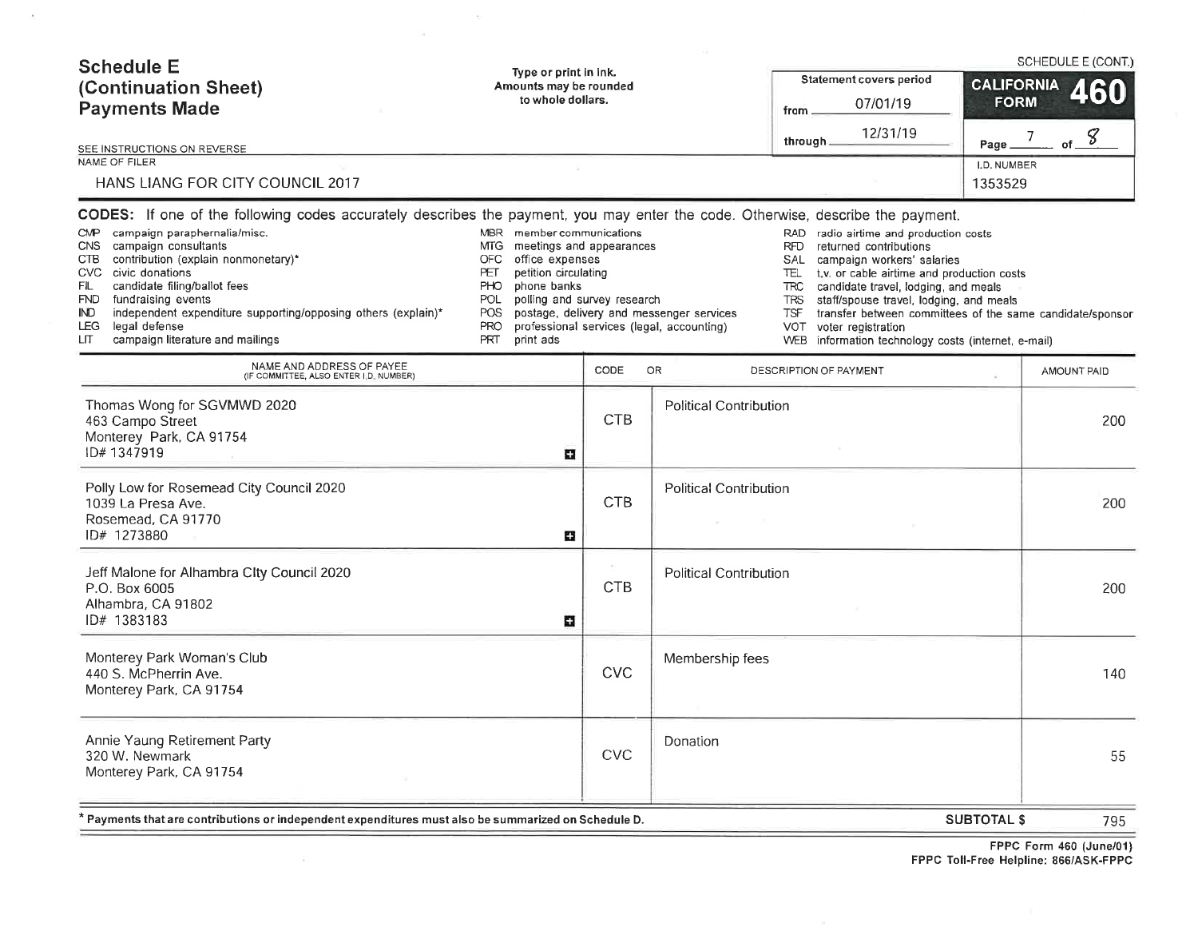| <b>Schedule E</b><br>Type or print in ink.<br>(Continuation Sheet)<br>Amounts may be rounded<br>to whole dollars.<br><b>Payments Made</b><br>SEE INSTRUCTIONS ON REVERSE<br>NAME OF FILER<br>HANS LIANG FOR CITY COUNCIL 2017<br>CODES: If one of the following codes accurately describes the payment, you may enter the code. Otherwise, describe the payment.                                                                                                                                                                                                                                                |                             |                                                                                       | <b>Statement covers period</b><br>07/01/19<br>from<br>12/31/19<br>through.                                                                                                                                                                                                                                                                                                                                                                                            | <b>CALIFORNIA</b><br><b>FORM</b><br>Page<br>I.D. NUMBER<br>1353529 | SCHEDULE E (CONT.)<br>$-$ of $-$ <sup>8</sup><br>7 <sup>7</sup> |
|-----------------------------------------------------------------------------------------------------------------------------------------------------------------------------------------------------------------------------------------------------------------------------------------------------------------------------------------------------------------------------------------------------------------------------------------------------------------------------------------------------------------------------------------------------------------------------------------------------------------|-----------------------------|---------------------------------------------------------------------------------------|-----------------------------------------------------------------------------------------------------------------------------------------------------------------------------------------------------------------------------------------------------------------------------------------------------------------------------------------------------------------------------------------------------------------------------------------------------------------------|--------------------------------------------------------------------|-----------------------------------------------------------------|
| <b>CMP</b><br>campaign paraphernalia/misc.<br>MBR member communications<br>campaign consultants<br>meetings and appearances<br><b>CNS</b><br>MTG.<br>contribution (explain nonmonetary)*<br><b>OFC</b><br>office expenses<br><b>CTB</b><br>petition circulating<br>CVC civic donations<br>PET<br>candidate filing/ballot fees<br><b>PHO</b><br>FIL<br>phone banks<br>fundraising events<br>POL<br><b>FND</b><br>independent expenditure supporting/opposing others (explain)*<br><b>POS</b><br>IND.<br>legal defense<br><b>PRO</b><br>LEG.<br>campaign literature and mailings<br><b>PRT</b><br>LП<br>print ads | polling and survey research | postage, delivery and messenger services<br>professional services (legal, accounting) | RAD<br>radio airtime and production costs<br><b>RFD</b><br>returned contributions<br>SAL<br>campaign workers' salaries<br>t.v. or cable airtime and production costs<br>TEL.<br><b>TRC</b><br>candidate travel, lodging, and meals<br><b>TRS</b><br>staff/spouse travel, lodging, and meals<br><b>TSF</b><br>transfer between committees of the same candidate/sponsor<br>VOT.<br>voter registration<br>information technology costs (internet, e-mail)<br><b>WEB</b> |                                                                    |                                                                 |
| NAME AND ADDRESS OF PAYEE<br>(IF COMMITTEE, ALSO ENTER I.D. NUMBER)                                                                                                                                                                                                                                                                                                                                                                                                                                                                                                                                             | CODE                        | OR                                                                                    | DESCRIPTION OF PAYMENT                                                                                                                                                                                                                                                                                                                                                                                                                                                |                                                                    | AMOUNT PAID                                                     |
| Thomas Wong for SGVMWD 2020<br>463 Campo Street<br>Monterey Park, CA 91754<br>ID#1347919<br>a                                                                                                                                                                                                                                                                                                                                                                                                                                                                                                                   | <b>CTB</b>                  | <b>Political Contribution</b>                                                         |                                                                                                                                                                                                                                                                                                                                                                                                                                                                       |                                                                    | 200                                                             |
| Polly Low for Rosemead City Council 2020<br>1039 La Presa Ave.<br>Rosemead, CA 91770<br>ID# 1273880<br>o                                                                                                                                                                                                                                                                                                                                                                                                                                                                                                        | <b>CTB</b>                  | <b>Political Contribution</b>                                                         |                                                                                                                                                                                                                                                                                                                                                                                                                                                                       |                                                                    | 200                                                             |
| Jeff Malone for Alhambra City Council 2020<br>P.O. Box 6005<br>Alhambra, CA 91802<br>ID# 1383183<br>o                                                                                                                                                                                                                                                                                                                                                                                                                                                                                                           | CTB                         | <b>Political Contribution</b>                                                         |                                                                                                                                                                                                                                                                                                                                                                                                                                                                       |                                                                    | 200                                                             |
| Monterey Park Woman's Club<br>440 S. McPherrin Ave.<br>Monterey Park, CA 91754                                                                                                                                                                                                                                                                                                                                                                                                                                                                                                                                  | <b>CVC</b>                  | Membership fees                                                                       |                                                                                                                                                                                                                                                                                                                                                                                                                                                                       |                                                                    | 140                                                             |
| Annie Yaung Retirement Party<br>320 W. Newmark<br>Monterey Park, CA 91754                                                                                                                                                                                                                                                                                                                                                                                                                                                                                                                                       | <b>CVC</b>                  | Donation                                                                              |                                                                                                                                                                                                                                                                                                                                                                                                                                                                       |                                                                    | 55                                                              |
| Payments that are contributions or independent expenditures must also be summarized on Schedule D.                                                                                                                                                                                                                                                                                                                                                                                                                                                                                                              |                             |                                                                                       |                                                                                                                                                                                                                                                                                                                                                                                                                                                                       | <b>SUBTOTAL \$</b>                                                 | 795                                                             |

 $\sim 10^{-1}$ 

 $\langle \bullet \rangle$ 

FPPC Form 460 {June/01) FPPC Toll-Free Helpline: 866/ASK-FPP(